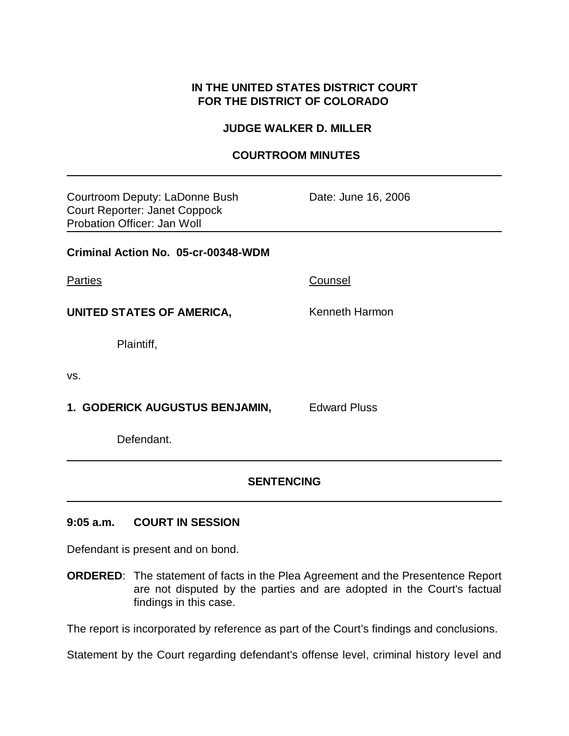## **IN THE UNITED STATES DISTRICT COURT FOR THE DISTRICT OF COLORADO**

#### **JUDGE WALKER D. MILLER**

### **COURTROOM MINUTES**

| Courtroom Deputy: LaDonne Bush<br><b>Court Reporter: Janet Coppock</b><br>Probation Officer: Jan Woll | Date: June 16, 2006 |  |
|-------------------------------------------------------------------------------------------------------|---------------------|--|
| Criminal Action No. 05-cr-00348-WDM                                                                   |                     |  |
| <b>Parties</b>                                                                                        | Counsel             |  |
| <b>UNITED STATES OF AMERICA,</b>                                                                      | Kenneth Harmon      |  |
| Plaintiff,                                                                                            |                     |  |
| VS.                                                                                                   |                     |  |
| 1. GODERICK AUGUSTUS BENJAMIN,                                                                        | <b>Edward Pluss</b> |  |
| Defendant.                                                                                            |                     |  |
|                                                                                                       |                     |  |

# **SENTENCING**

### **9:05 a.m. COURT IN SESSION**

Defendant is present and on bond.

**ORDERED**: The statement of facts in the Plea Agreement and the Presentence Report are not disputed by the parties and are adopted in the Court's factual findings in this case.

The report is incorporated by reference as part of the Court's findings and conclusions.

Statement by the Court regarding defendant's offense level, criminal history level and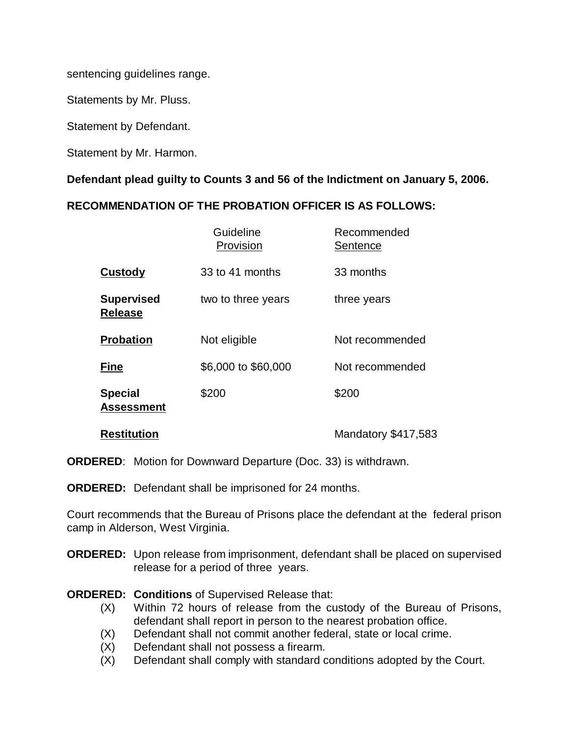sentencing guidelines range.

Statements by Mr. Pluss.

Statement by Defendant.

Statement by Mr. Harmon.

**Defendant plead guilty to Counts 3 and 56 of the Indictment on January 5, 2006.**

## **RECOMMENDATION OF THE PROBATION OFFICER IS AS FOLLOWS:**

|                                     | Guideline<br>Provision | Recommended<br>Sentence |
|-------------------------------------|------------------------|-------------------------|
| <b>Custody</b>                      | 33 to 41 months        | 33 months               |
| <b>Supervised</b><br><b>Release</b> | two to three years     | three years             |
| <b>Probation</b>                    | Not eligible           | Not recommended         |
| <b>Fine</b>                         | \$6,000 to \$60,000    | Not recommended         |
| <b>Special</b><br><b>Assessment</b> | \$200                  | \$200                   |
| <b>Restitution</b>                  |                        | Mandatory \$417,583     |

**ORDERED**: Motion for Downward Departure (Doc. 33) is withdrawn.

**ORDERED:** Defendant shall be imprisoned for 24 months.

Court recommends that the Bureau of Prisons place the defendant at the federal prison camp in Alderson, West Virginia.

**ORDERED:** Upon release from imprisonment, defendant shall be placed on supervised release for a period of three years.

### **ORDERED: Conditions** of Supervised Release that:

- (X) Within 72 hours of release from the custody of the Bureau of Prisons, defendant shall report in person to the nearest probation office.
- (X) Defendant shall not commit another federal, state or local crime.
- (X) Defendant shall not possess a firearm.
- (X) Defendant shall comply with standard conditions adopted by the Court.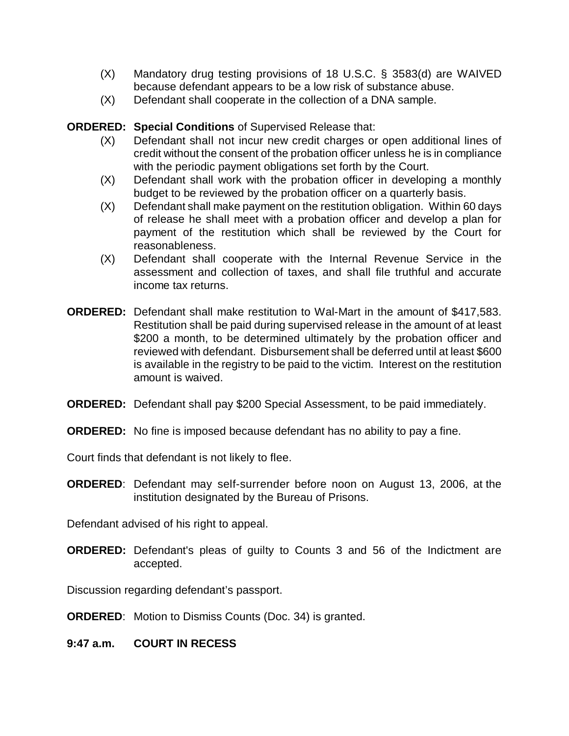- (X) Mandatory drug testing provisions of 18 U.S.C. § 3583(d) are WAIVED because defendant appears to be a low risk of substance abuse.
- (X) Defendant shall cooperate in the collection of a DNA sample.

## **ORDERED: Special Conditions** of Supervised Release that:

- (X) Defendant shall not incur new credit charges or open additional lines of credit without the consent of the probation officer unless he is in compliance with the periodic payment obligations set forth by the Court.
- (X) Defendant shall work with the probation officer in developing a monthly budget to be reviewed by the probation officer on a quarterly basis.
- (X) Defendant shall make payment on the restitution obligation. Within 60 days of release he shall meet with a probation officer and develop a plan for payment of the restitution which shall be reviewed by the Court for reasonableness.
- (X) Defendant shall cooperate with the Internal Revenue Service in the assessment and collection of taxes, and shall file truthful and accurate income tax returns.
- **ORDERED:** Defendant shall make restitution to Wal-Mart in the amount of \$417,583. Restitution shall be paid during supervised release in the amount of at least \$200 a month, to be determined ultimately by the probation officer and reviewed with defendant. Disbursement shall be deferred until at least \$600 is available in the registry to be paid to the victim. Interest on the restitution amount is waived.
- **ORDERED:** Defendant shall pay \$200 Special Assessment, to be paid immediately.
- **ORDERED:** No fine is imposed because defendant has no ability to pay a fine.

Court finds that defendant is not likely to flee.

**ORDERED**: Defendant may self-surrender before noon on August 13, 2006, at the institution designated by the Bureau of Prisons.

Defendant advised of his right to appeal.

**ORDERED:** Defendant's pleas of guilty to Counts 3 and 56 of the Indictment are accepted.

Discussion regarding defendant's passport.

**ORDERED**: Motion to Dismiss Counts (Doc. 34) is granted.

**9:47 a.m. COURT IN RECESS**